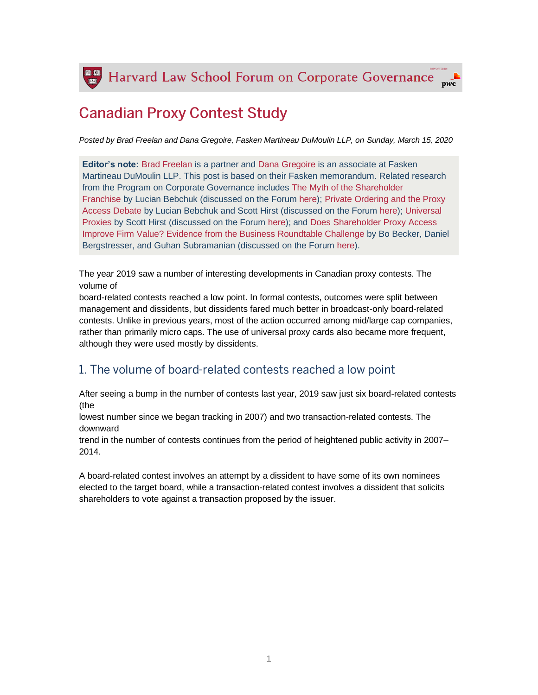Harvard Law School Forum on Corporate Governance

# **Canadian Proxy Contest Study**

*Posted by Brad Freelan and Dana Gregoire, Fasken Martineau DuMoulin LLP, on Sunday, March 15, 2020*

**Editor's note:** [Brad Freelan](https://www.fasken.com/en/bradley-freelan#sort=%40fclientworksortdate75392%20descending) is a partner and [Dana Gregoire](https://www.fasken.com/en/dana-gregoire#sort=%40fclientworksortdate75392%20descending) is an associate at Fasken Martineau DuMoulin LLP. This post is based on their Fasken memorandum. Related research from the Program on Corporate Governance includes [The Myth of the Shareholder](https://papers.ssrn.com/sol3/papers.cfm?abstract_id=952078)  [Franchise](https://papers.ssrn.com/sol3/papers.cfm?abstract_id=952078) by Lucian Bebchuk (discussed on the Forum [here\)](https://corpgov.law.harvard.edu/2007/04/24/the-myth-of-the-shareholder-franchise/); [Private Ordering and the Proxy](https://papers.ssrn.com/sol3/papers.cfm?abstract_id=1513408)  [Access Debate](https://papers.ssrn.com/sol3/papers.cfm?abstract_id=1513408) by Lucian Bebchuk and Scott Hirst (discussed on the Forum [here\)](https://corpgov.law.harvard.edu/2009/12/08/private-ordering-and-the-proxy-access-debate/); [Universal](https://papers.ssrn.com/sol3/papers.cfm?abstract_id=2805136)  [Proxies](https://papers.ssrn.com/sol3/papers.cfm?abstract_id=2805136) by Scott Hirst (discussed on the Forum [here\)](https://corpgov.law.harvard.edu/2016/10/24/universal-proxies/); and [Does Shareholder Proxy Access](https://papers.ssrn.com/sol3/papers.cfm?abstract_id=1695666)  [Improve Firm Value? Evidence from the Business Roundtable Challenge](https://papers.ssrn.com/sol3/papers.cfm?abstract_id=1695666) by Bo Becker, Daniel Bergstresser, and Guhan Subramanian (discussed on the Forum [here\)](https://corpgov.law.harvard.edu/2011/01/10/does-shareholder-proxy-access-improve-firm-value/).

The year 2019 saw a number of interesting developments in Canadian proxy contests. The volume of

board-related contests reached a low point. In formal contests, outcomes were split between management and dissidents, but dissidents fared much better in broadcast-only board-related contests. Unlike in previous years, most of the action occurred among mid/large cap companies, rather than primarily micro caps. The use of universal proxy cards also became more frequent, although they were used mostly by dissidents.

# 1. The volume of board-related contests reached a low point

After seeing a bump in the number of contests last year, 2019 saw just six board-related contests (the

lowest number since we began tracking in 2007) and two transaction-related contests. The downward

trend in the number of contests continues from the period of heightened public activity in 2007– 2014.

A board-related contest involves an attempt by a dissident to have some of its own nominees elected to the target board, while a transaction-related contest involves a dissident that solicits shareholders to vote against a transaction proposed by the issuer.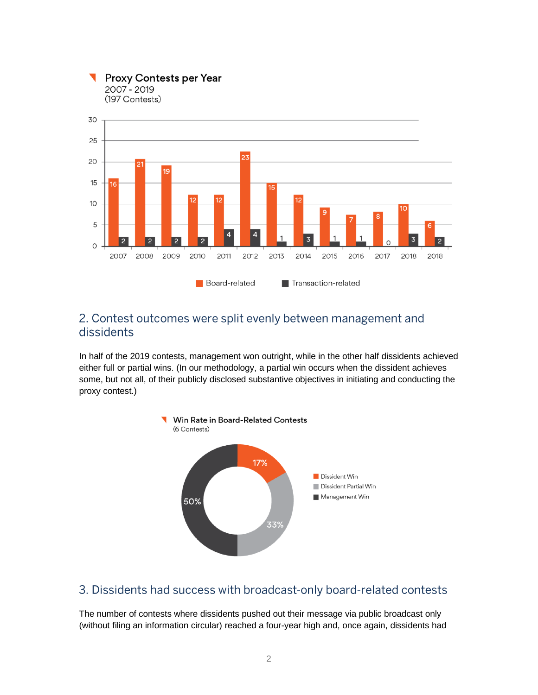

**Proxy Contests per Year** 

2007 - 2019

### 2. Contest outcomes were split evenly between management and dissidents

In half of the 2019 contests, management won outright, while in the other half dissidents achieved either full or partial wins. (In our methodology, a partial win occurs when the dissident achieves some, but not all, of their publicly disclosed substantive objectives in initiating and conducting the proxy contest.)



# 3. Dissidents had success with broadcast-only board-related contests

The number of contests where dissidents pushed out their message via public broadcast only (without filing an information circular) reached a four-year high and, once again, dissidents had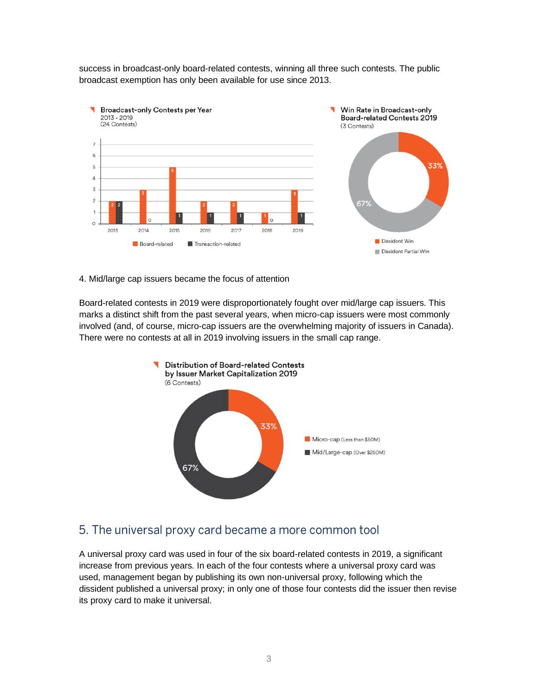success in broadcast-only board-related contests, winning all three such contests. The public broadcast exemption has only been available for use since 2013.



4. Mid/large cap issuers became the focus of attention

Board-related contests in 2019 were disproportionately fought over mid/large cap issuers. This marks a distinct shift from the past several years, when micro-cap issuers were most commonly involved (and, of course, micro-cap issuers are the overwhelming majority of issuers in Canada). There were no contests at all in 2019 involving issuers in the small cap range.



# 5. The universal proxy card became a more common tool

A universal proxy card was used in four of the six board-related contests in 2019, a significant increase from previous years. In each of the four contests where a universal proxy card was used, management began by publishing its own non-universal proxy, following which the dissident published a universal proxy; in only one of those four contests did the issuer then revise its proxy card to make it universal.